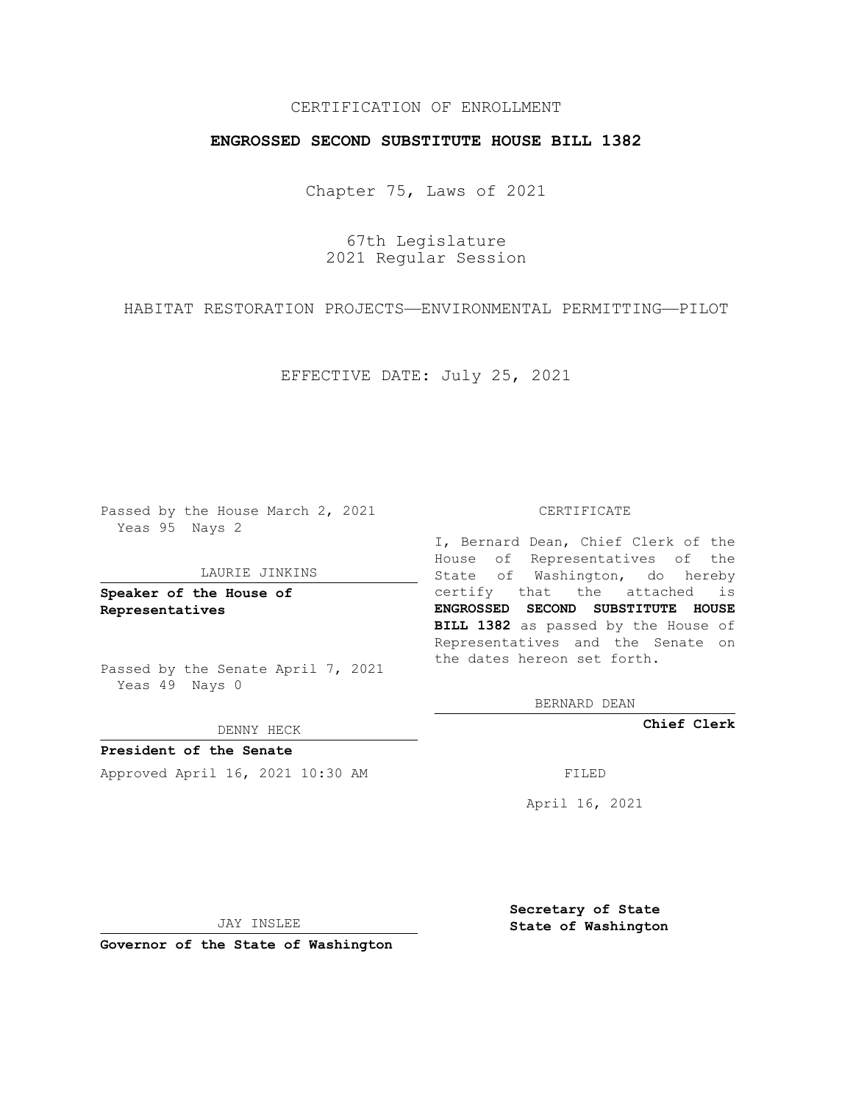# CERTIFICATION OF ENROLLMENT

## **ENGROSSED SECOND SUBSTITUTE HOUSE BILL 1382**

Chapter 75, Laws of 2021

67th Legislature 2021 Regular Session

HABITAT RESTORATION PROJECTS—ENVIRONMENTAL PERMITTING—PILOT

EFFECTIVE DATE: July 25, 2021

Passed by the House March 2, 2021 Yeas 95 Nays 2

#### LAURIE JINKINS

**Speaker of the House of Representatives**

Passed by the Senate April 7, 2021 Yeas 49 Nays 0

### DENNY HECK

**President of the Senate** Approved April 16, 2021 10:30 AM FILED

#### CERTIFICATE

I, Bernard Dean, Chief Clerk of the House of Representatives of the State of Washington, do hereby certify that the attached is **ENGROSSED SECOND SUBSTITUTE HOUSE BILL 1382** as passed by the House of Representatives and the Senate on the dates hereon set forth.

BERNARD DEAN

**Chief Clerk**

April 16, 2021

JAY INSLEE

**Governor of the State of Washington**

**Secretary of State State of Washington**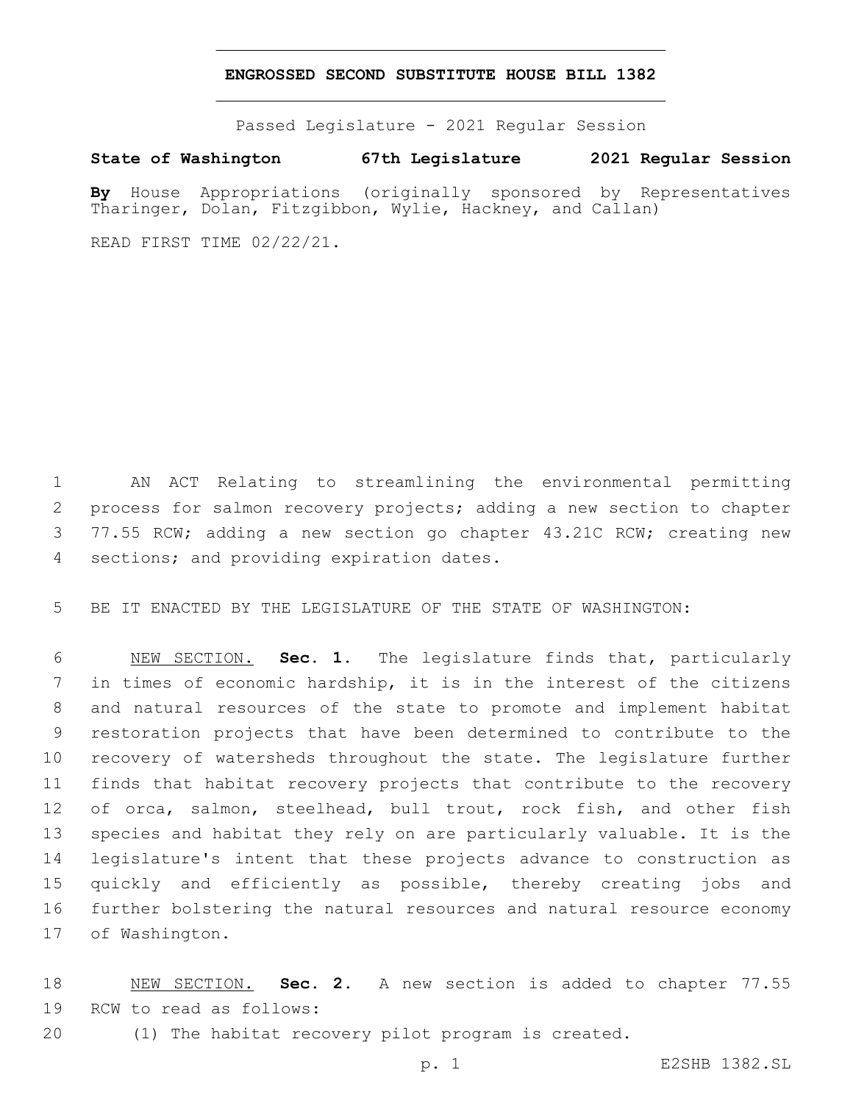## **ENGROSSED SECOND SUBSTITUTE HOUSE BILL 1382**

Passed Legislature - 2021 Regular Session

**State of Washington 67th Legislature 2021 Regular Session**

**By** House Appropriations (originally sponsored by Representatives Tharinger, Dolan, Fitzgibbon, Wylie, Hackney, and Callan)

READ FIRST TIME 02/22/21.

 AN ACT Relating to streamlining the environmental permitting process for salmon recovery projects; adding a new section to chapter 3 77.55 RCW; adding a new section go chapter 43.21C RCW; creating new 4 sections; and providing expiration dates.

BE IT ENACTED BY THE LEGISLATURE OF THE STATE OF WASHINGTON:

 NEW SECTION. **Sec. 1.** The legislature finds that, particularly in times of economic hardship, it is in the interest of the citizens and natural resources of the state to promote and implement habitat restoration projects that have been determined to contribute to the recovery of watersheds throughout the state. The legislature further finds that habitat recovery projects that contribute to the recovery of orca, salmon, steelhead, bull trout, rock fish, and other fish species and habitat they rely on are particularly valuable. It is the legislature's intent that these projects advance to construction as quickly and efficiently as possible, thereby creating jobs and further bolstering the natural resources and natural resource economy of Washington.

 NEW SECTION. **Sec. 2.** A new section is added to chapter 77.55 19 RCW to read as follows:

(1) The habitat recovery pilot program is created.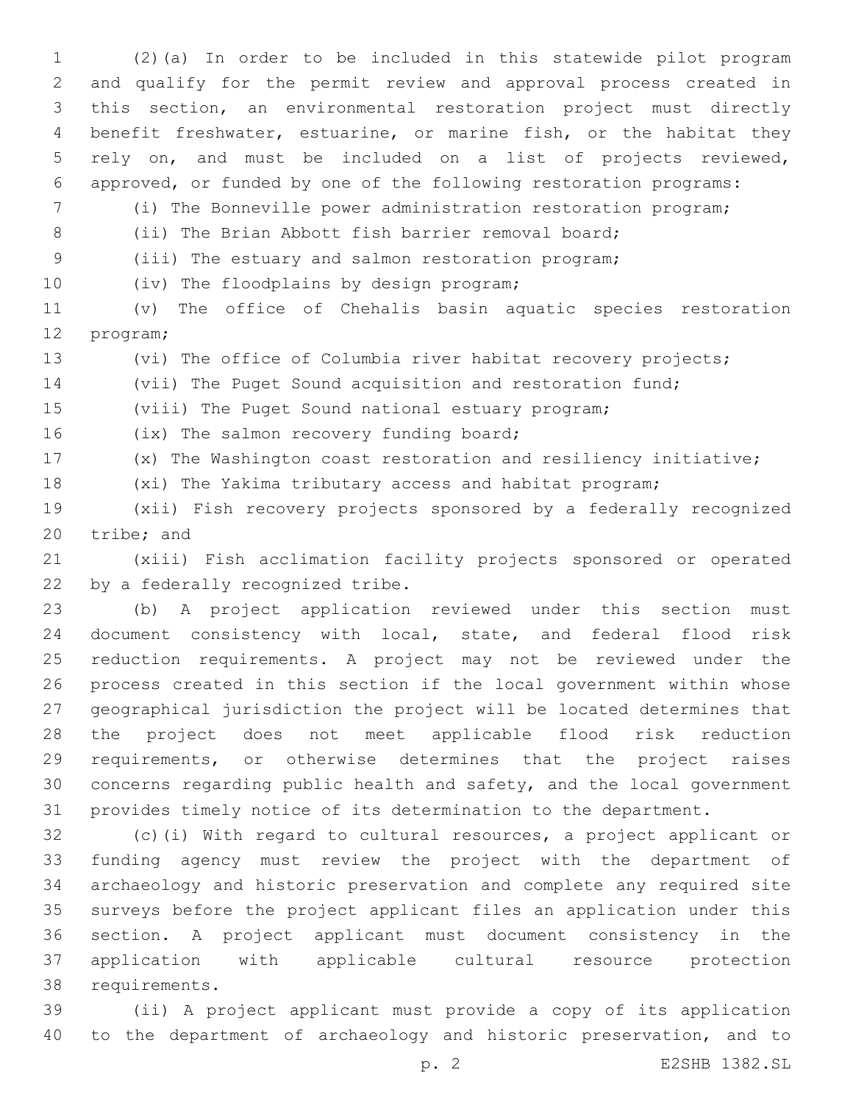(2)(a) In order to be included in this statewide pilot program and qualify for the permit review and approval process created in this section, an environmental restoration project must directly benefit freshwater, estuarine, or marine fish, or the habitat they rely on, and must be included on a list of projects reviewed, approved, or funded by one of the following restoration programs:

(i) The Bonneville power administration restoration program;

(ii) The Brian Abbott fish barrier removal board;

(iii) The estuary and salmon restoration program;

10 (iv) The floodplains by design program;

 (v) The office of Chehalis basin aquatic species restoration 12 program;

(vi) The office of Columbia river habitat recovery projects;

(vii) The Puget Sound acquisition and restoration fund;

(viii) The Puget Sound national estuary program;

16 (ix) The salmon recovery funding board;

(x) The Washington coast restoration and resiliency initiative;

(xi) The Yakima tributary access and habitat program;

 (xii) Fish recovery projects sponsored by a federally recognized 20 tribe; and

 (xiii) Fish acclimation facility projects sponsored or operated 22 by a federally recognized tribe.

 (b) A project application reviewed under this section must document consistency with local, state, and federal flood risk reduction requirements. A project may not be reviewed under the process created in this section if the local government within whose geographical jurisdiction the project will be located determines that the project does not meet applicable flood risk reduction requirements, or otherwise determines that the project raises concerns regarding public health and safety, and the local government provides timely notice of its determination to the department.

 (c)(i) With regard to cultural resources, a project applicant or funding agency must review the project with the department of archaeology and historic preservation and complete any required site surveys before the project applicant files an application under this section. A project applicant must document consistency in the application with applicable cultural resource protection 38 requirements.

 (ii) A project applicant must provide a copy of its application to the department of archaeology and historic preservation, and to

p. 2 E2SHB 1382.SL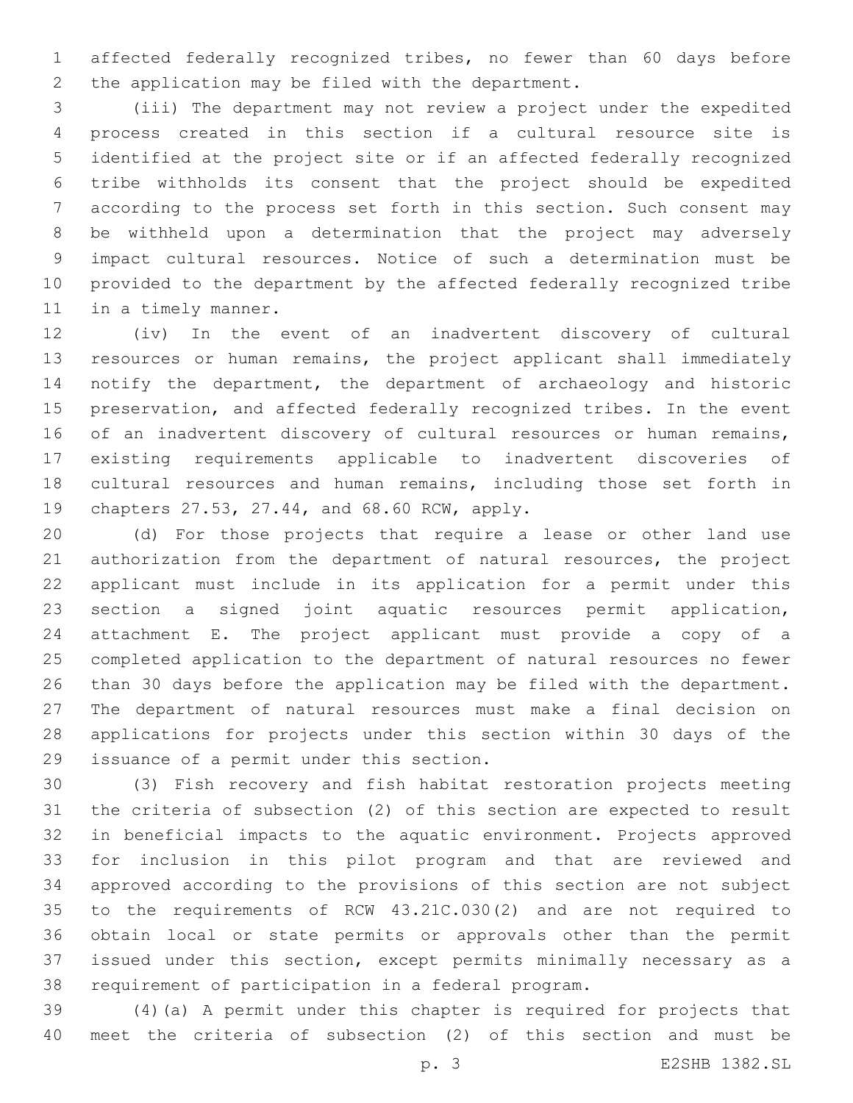affected federally recognized tribes, no fewer than 60 days before 2 the application may be filed with the department.

 (iii) The department may not review a project under the expedited process created in this section if a cultural resource site is identified at the project site or if an affected federally recognized tribe withholds its consent that the project should be expedited according to the process set forth in this section. Such consent may be withheld upon a determination that the project may adversely impact cultural resources. Notice of such a determination must be provided to the department by the affected federally recognized tribe 11 in a timely manner.

 (iv) In the event of an inadvertent discovery of cultural resources or human remains, the project applicant shall immediately notify the department, the department of archaeology and historic preservation, and affected federally recognized tribes. In the event 16 of an inadvertent discovery of cultural resources or human remains, existing requirements applicable to inadvertent discoveries of cultural resources and human remains, including those set forth in 19 chapters 27.53, 27.44, and 68.60 RCW, apply.

 (d) For those projects that require a lease or other land use authorization from the department of natural resources, the project applicant must include in its application for a permit under this section a signed joint aquatic resources permit application, attachment E. The project applicant must provide a copy of a completed application to the department of natural resources no fewer than 30 days before the application may be filed with the department. The department of natural resources must make a final decision on applications for projects under this section within 30 days of the 29 issuance of a permit under this section.

 (3) Fish recovery and fish habitat restoration projects meeting the criteria of subsection (2) of this section are expected to result in beneficial impacts to the aquatic environment. Projects approved for inclusion in this pilot program and that are reviewed and approved according to the provisions of this section are not subject to the requirements of RCW 43.21C.030(2) and are not required to obtain local or state permits or approvals other than the permit issued under this section, except permits minimally necessary as a requirement of participation in a federal program.

 (4)(a) A permit under this chapter is required for projects that meet the criteria of subsection (2) of this section and must be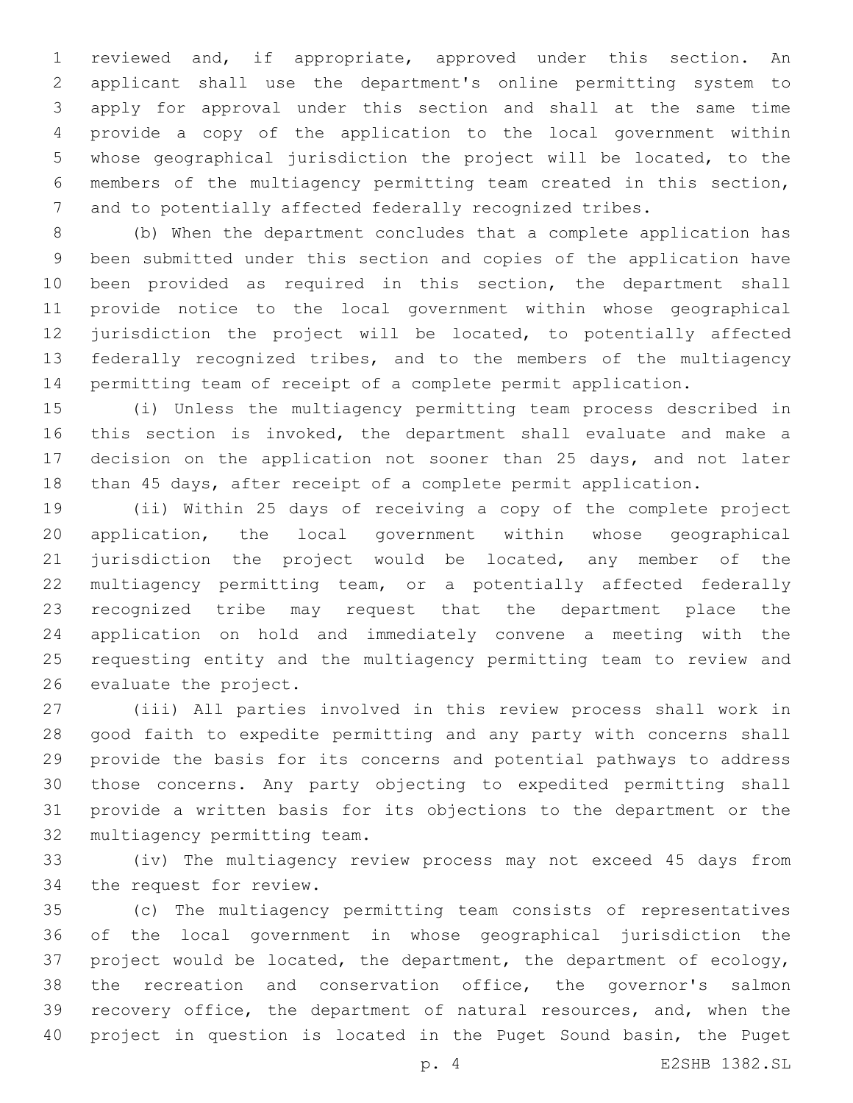reviewed and, if appropriate, approved under this section. An applicant shall use the department's online permitting system to apply for approval under this section and shall at the same time provide a copy of the application to the local government within whose geographical jurisdiction the project will be located, to the members of the multiagency permitting team created in this section, and to potentially affected federally recognized tribes.

 (b) When the department concludes that a complete application has been submitted under this section and copies of the application have been provided as required in this section, the department shall provide notice to the local government within whose geographical jurisdiction the project will be located, to potentially affected 13 federally recognized tribes, and to the members of the multiagency permitting team of receipt of a complete permit application.

 (i) Unless the multiagency permitting team process described in this section is invoked, the department shall evaluate and make a decision on the application not sooner than 25 days, and not later than 45 days, after receipt of a complete permit application.

 (ii) Within 25 days of receiving a copy of the complete project application, the local government within whose geographical 21 jurisdiction the project would be located, any member of the multiagency permitting team, or a potentially affected federally recognized tribe may request that the department place the application on hold and immediately convene a meeting with the requesting entity and the multiagency permitting team to review and 26 evaluate the project.

 (iii) All parties involved in this review process shall work in good faith to expedite permitting and any party with concerns shall provide the basis for its concerns and potential pathways to address those concerns. Any party objecting to expedited permitting shall provide a written basis for its objections to the department or the 32 multiagency permitting team.

 (iv) The multiagency review process may not exceed 45 days from 34 the request for review.

 (c) The multiagency permitting team consists of representatives of the local government in whose geographical jurisdiction the project would be located, the department, the department of ecology, the recreation and conservation office, the governor's salmon recovery office, the department of natural resources, and, when the project in question is located in the Puget Sound basin, the Puget

p. 4 E2SHB 1382.SL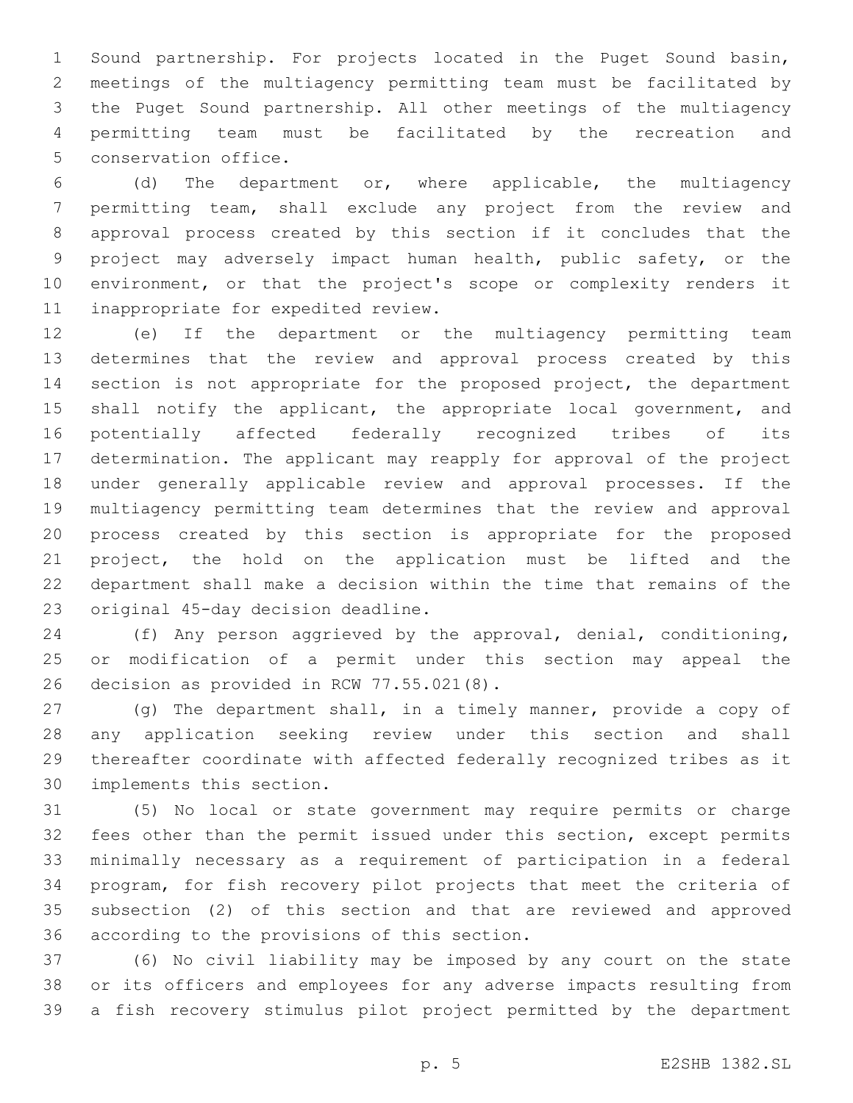Sound partnership. For projects located in the Puget Sound basin, meetings of the multiagency permitting team must be facilitated by the Puget Sound partnership. All other meetings of the multiagency permitting team must be facilitated by the recreation and 5 conservation office.

 (d) The department or, where applicable, the multiagency permitting team, shall exclude any project from the review and approval process created by this section if it concludes that the project may adversely impact human health, public safety, or the environment, or that the project's scope or complexity renders it 11 inappropriate for expedited review.

 (e) If the department or the multiagency permitting team determines that the review and approval process created by this section is not appropriate for the proposed project, the department 15 shall notify the applicant, the appropriate local government, and potentially affected federally recognized tribes of its determination. The applicant may reapply for approval of the project under generally applicable review and approval processes. If the multiagency permitting team determines that the review and approval process created by this section is appropriate for the proposed project, the hold on the application must be lifted and the department shall make a decision within the time that remains of the 23 original 45-day decision deadline.

 (f) Any person aggrieved by the approval, denial, conditioning, or modification of a permit under this section may appeal the 26 decision as provided in RCW 77.55.021(8).

 (g) The department shall, in a timely manner, provide a copy of any application seeking review under this section and shall thereafter coordinate with affected federally recognized tribes as it 30 implements this section.

 (5) No local or state government may require permits or charge fees other than the permit issued under this section, except permits minimally necessary as a requirement of participation in a federal program, for fish recovery pilot projects that meet the criteria of subsection (2) of this section and that are reviewed and approved 36 according to the provisions of this section.

 (6) No civil liability may be imposed by any court on the state or its officers and employees for any adverse impacts resulting from a fish recovery stimulus pilot project permitted by the department